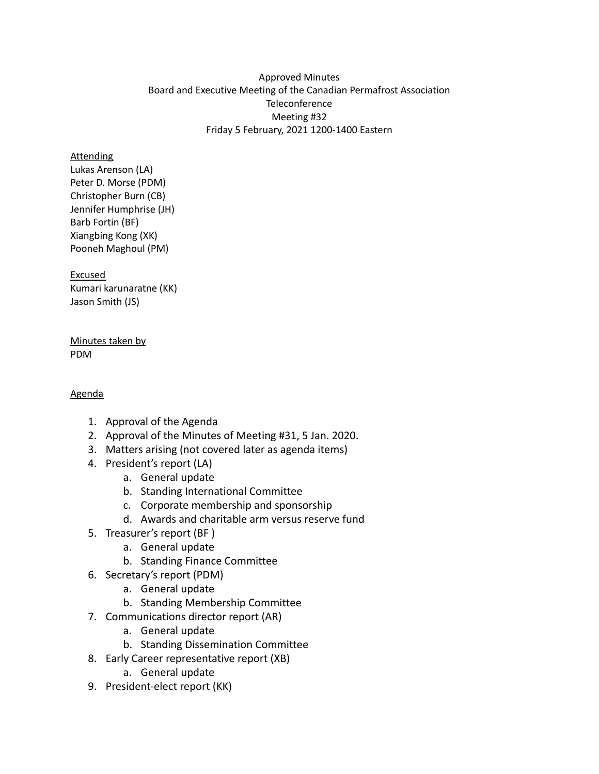## Approved Minutes Board and Executive Meeting of the Canadian Permafrost Association **Teleconference** Meeting #32 Friday 5 February, 2021 1200-1400 Eastern

#### **Attending**

Lukas Arenson (LA) Peter D. Morse (PDM) Christopher Burn (CB) Jennifer Humphrise (JH) Barb Fortin (BF) Xiangbing Kong (XK) Pooneh Maghoul (PM)

#### Excused

Kumari karunaratne (KK) Jason Smith (JS)

#### Minutes taken by PDM

## Agenda

- 1. Approval of the Agenda
- 2. Approval of the Minutes of Meeting #31, 5 Jan. 2020.
- 3. Matters arising (not covered later as agenda items)
- 4. President's report (LA)
	- a. General update
	- b. Standing International Committee
	- c. Corporate membership and sponsorship
	- d. Awards and charitable arm versus reserve fund
- 5. Treasurer's report (BF )
	- a. General update
	- b. Standing Finance Committee
- 6. Secretary's report (PDM)
	- a. General update
	- b. Standing Membership Committee
- 7. Communications director report (AR)
	- a. General update
	- b. Standing Dissemination Committee
- 8. Early Career representative report (XB)
	- a. General update
- 9. President-elect report (KK)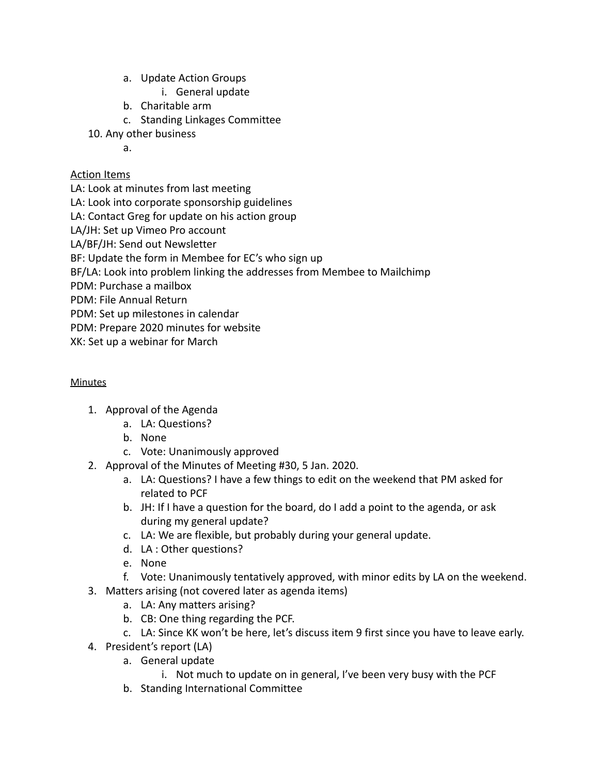- a. Update Action Groups
	- i. General update
- b. Charitable arm
- c. Standing Linkages Committee
- 10. Any other business
	- a.

# Action Items

LA: Look at minutes from last meeting

LA: Look into corporate sponsorship guidelines

LA: Contact Greg for update on his action group

LA/JH: Set up Vimeo Pro account

LA/BF/JH: Send out Newsletter

BF: Update the form in Membee for EC's who sign up

BF/LA: Look into problem linking the addresses from Membee to Mailchimp

PDM: Purchase a mailbox

PDM: File Annual Return

PDM: Set up milestones in calendar

PDM: Prepare 2020 minutes for website

XK: Set up a webinar for March

## **Minutes**

- 1. Approval of the Agenda
	- a. LA: Questions?
	- b. None
	- c. Vote: Unanimously approved
- 2. Approval of the Minutes of Meeting #30, 5 Jan. 2020.
	- a. LA: Questions? I have a few things to edit on the weekend that PM asked for related to PCF
	- b. JH: If I have a question for the board, do I add a point to the agenda, or ask during my general update?
	- c. LA: We are flexible, but probably during your general update.
	- d. LA : Other questions?
	- e. None
	- f. Vote: Unanimously tentatively approved, with minor edits by LA on the weekend.
- 3. Matters arising (not covered later as agenda items)
	- a. LA: Any matters arising?
	- b. CB: One thing regarding the PCF.
	- c. LA: Since KK won't be here, let's discuss item 9 first since you have to leave early.
- 4. President's report (LA)
	- a. General update
		- i. Not much to update on in general, I've been very busy with the PCF
	- b. Standing International Committee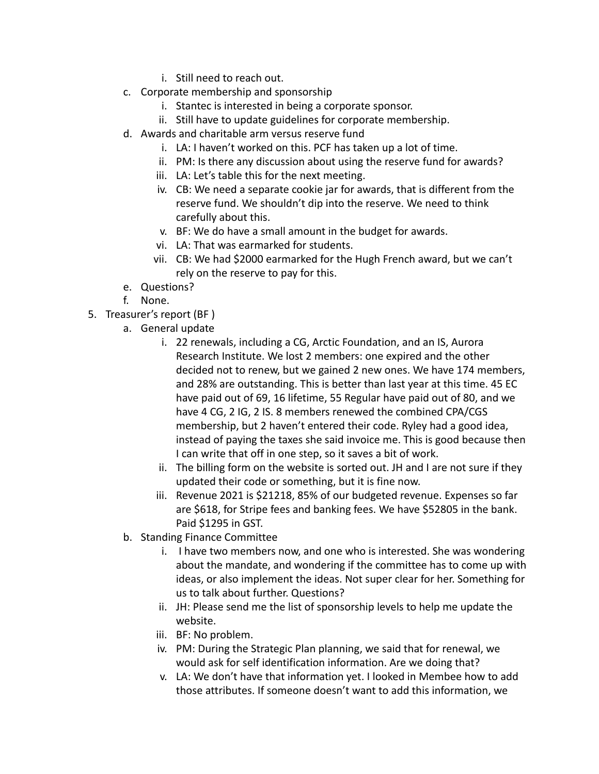- i. Still need to reach out.
- c. Corporate membership and sponsorship
	- i. Stantec is interested in being a corporate sponsor.
	- ii. Still have to update guidelines for corporate membership.
- d. Awards and charitable arm versus reserve fund
	- i. LA: I haven't worked on this. PCF has taken up a lot of time.
	- ii. PM: Is there any discussion about using the reserve fund for awards?
	- iii. LA: Let's table this for the next meeting.
	- iv. CB: We need a separate cookie jar for awards, that is different from the reserve fund. We shouldn't dip into the reserve. We need to think carefully about this.
	- v. BF: We do have a small amount in the budget for awards.
	- vi. LA: That was earmarked for students.
	- vii. CB: We had \$2000 earmarked for the Hugh French award, but we can't rely on the reserve to pay for this.
- e. Questions?
- f. None.
- 5. Treasurer's report (BF )
	- a. General update
		- i. 22 renewals, including a CG, Arctic Foundation, and an IS, Aurora Research Institute. We lost 2 members: one expired and the other decided not to renew, but we gained 2 new ones. We have 174 members, and 28% are outstanding. This is better than last year at this time. 45 EC have paid out of 69, 16 lifetime, 55 Regular have paid out of 80, and we have 4 CG, 2 IG, 2 IS. 8 members renewed the combined CPA/CGS membership, but 2 haven't entered their code. Ryley had a good idea, instead of paying the taxes she said invoice me. This is good because then I can write that off in one step, so it saves a bit of work.
		- ii. The billing form on the website is sorted out. JH and I are not sure if they updated their code or something, but it is fine now.
		- iii. Revenue 2021 is \$21218, 85% of our budgeted revenue. Expenses so far are \$618, for Stripe fees and banking fees. We have \$52805 in the bank. Paid \$1295 in GST.
	- b. Standing Finance Committee
		- i. I have two members now, and one who is interested. She was wondering about the mandate, and wondering if the committee has to come up with ideas, or also implement the ideas. Not super clear for her. Something for us to talk about further. Questions?
		- ii. JH: Please send me the list of sponsorship levels to help me update the website.
		- iii. BF: No problem.
		- iv. PM: During the Strategic Plan planning, we said that for renewal, we would ask for self identification information. Are we doing that?
		- v. LA: We don't have that information yet. I looked in Membee how to add those attributes. If someone doesn't want to add this information, we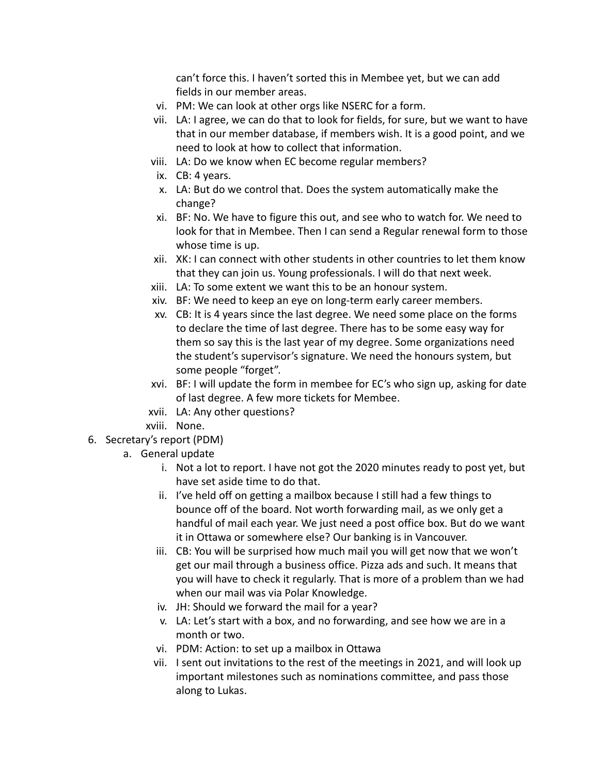can't force this. I haven't sorted this in Membee yet, but we can add fields in our member areas.

- vi. PM: We can look at other orgs like NSERC for a form.
- vii. LA: I agree, we can do that to look for fields, for sure, but we want to have that in our member database, if members wish. It is a good point, and we need to look at how to collect that information.
- viii. LA: Do we know when EC become regular members?
- ix. CB: 4 years.
- x. LA: But do we control that. Does the system automatically make the change?
- xi. BF: No. We have to figure this out, and see who to watch for. We need to look for that in Membee. Then I can send a Regular renewal form to those whose time is up.
- xii. XK: I can connect with other students in other countries to let them know that they can join us. Young professionals. I will do that next week.
- xiii. LA: To some extent we want this to be an honour system.
- xiv. BF: We need to keep an eye on long-term early career members.
- xv. CB: It is 4 years since the last degree. We need some place on the forms to declare the time of last degree. There has to be some easy way for them so say this is the last year of my degree. Some organizations need the student's supervisor's signature. We need the honours system, but some people "forget".
- xvi. BF: I will update the form in membee for EC's who sign up, asking for date of last degree. A few more tickets for Membee.
- xvii. LA: Any other questions?
- xviii. None.
- 6. Secretary's report (PDM)
	- a. General update
		- i. Not a lot to report. I have not got the 2020 minutes ready to post yet, but have set aside time to do that.
		- ii. I've held off on getting a mailbox because I still had a few things to bounce off of the board. Not worth forwarding mail, as we only get a handful of mail each year. We just need a post office box. But do we want it in Ottawa or somewhere else? Our banking is in Vancouver.
		- iii. CB: You will be surprised how much mail you will get now that we won't get our mail through a business office. Pizza ads and such. It means that you will have to check it regularly. That is more of a problem than we had when our mail was via Polar Knowledge.
		- iv. JH: Should we forward the mail for a year?
		- v. LA: Let's start with a box, and no forwarding, and see how we are in a month or two.
		- vi. PDM: Action: to set up a mailbox in Ottawa
		- vii. I sent out invitations to the rest of the meetings in 2021, and will look up important milestones such as nominations committee, and pass those along to Lukas.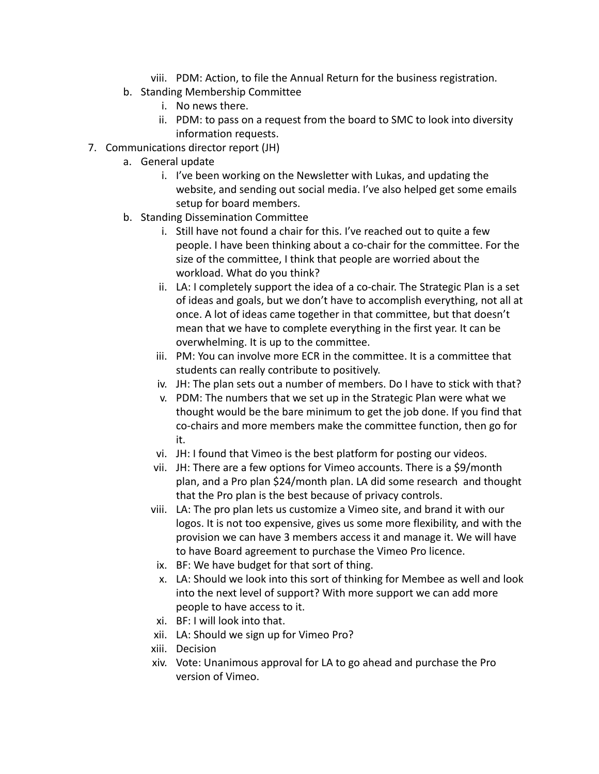- viii. PDM: Action, to file the Annual Return for the business registration.
- b. Standing Membership Committee
	- i. No news there.
	- ii. PDM: to pass on a request from the board to SMC to look into diversity information requests.
- 7. Communications director report (JH)
	- a. General update
		- i. I've been working on the Newsletter with Lukas, and updating the website, and sending out social media. I've also helped get some emails setup for board members.
	- b. Standing Dissemination Committee
		- i. Still have not found a chair for this. I've reached out to quite a few people. I have been thinking about a co-chair for the committee. For the size of the committee, I think that people are worried about the workload. What do you think?
		- ii. LA: I completely support the idea of a co-chair. The Strategic Plan is a set of ideas and goals, but we don't have to accomplish everything, not all at once. A lot of ideas came together in that committee, but that doesn't mean that we have to complete everything in the first year. It can be overwhelming. It is up to the committee.
		- iii. PM: You can involve more ECR in the committee. It is a committee that students can really contribute to positively.
		- iv. JH: The plan sets out a number of members. Do I have to stick with that?
		- v. PDM: The numbers that we set up in the Strategic Plan were what we thought would be the bare minimum to get the job done. If you find that co-chairs and more members make the committee function, then go for it.
		- vi. JH: I found that Vimeo is the best platform for posting our videos.
		- vii. JH: There are a few options for Vimeo accounts. There is a \$9/month plan, and a Pro plan \$24/month plan. LA did some research and thought that the Pro plan is the best because of privacy controls.
		- viii. LA: The pro plan lets us customize a Vimeo site, and brand it with our logos. It is not too expensive, gives us some more flexibility, and with the provision we can have 3 members access it and manage it. We will have to have Board agreement to purchase the Vimeo Pro licence.
		- ix. BF: We have budget for that sort of thing.
		- x. LA: Should we look into this sort of thinking for Membee as well and look into the next level of support? With more support we can add more people to have access to it.
		- xi. BF: I will look into that.
		- xii. LA: Should we sign up for Vimeo Pro?
		- xiii. Decision
		- xiv. Vote: Unanimous approval for LA to go ahead and purchase the Pro version of Vimeo.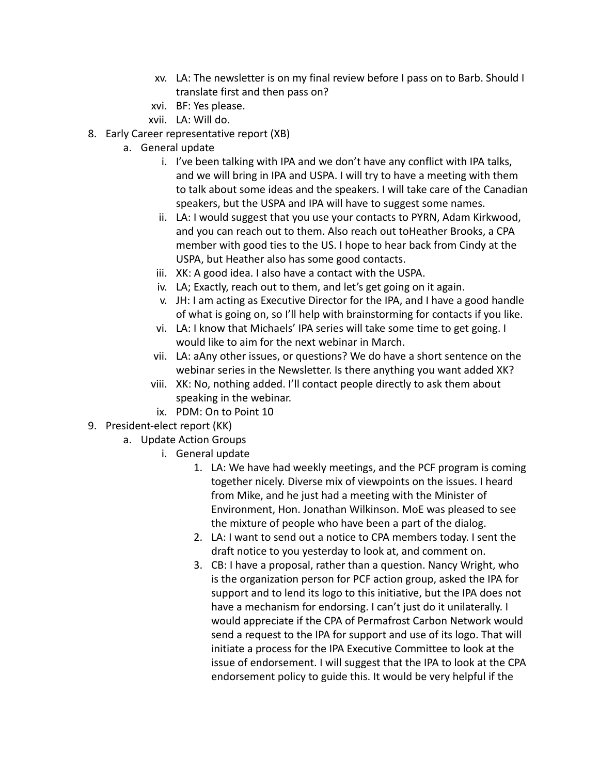- xv. LA: The newsletter is on my final review before I pass on to Barb. Should I translate first and then pass on?
- xvi. BF: Yes please.
- xvii. LA: Will do.
- 8. Early Career representative report (XB)
	- a. General update
		- i. I've been talking with IPA and we don't have any conflict with IPA talks, and we will bring in IPA and USPA. I will try to have a meeting with them to talk about some ideas and the speakers. I will take care of the Canadian speakers, but the USPA and IPA will have to suggest some names.
		- ii. LA: I would suggest that you use your contacts to PYRN, Adam Kirkwood, and you can reach out to them. Also reach out toHeather Brooks, a CPA member with good ties to the US. I hope to hear back from Cindy at the USPA, but Heather also has some good contacts.
		- iii. XK: A good idea. I also have a contact with the USPA.
		- iv. LA; Exactly, reach out to them, and let's get going on it again.
		- v. JH: I am acting as Executive Director for the IPA, and I have a good handle of what is going on, so I'll help with brainstorming for contacts if you like.
		- vi. LA: I know that Michaels' IPA series will take some time to get going. I would like to aim for the next webinar in March.
		- vii. LA: aAny other issues, or questions? We do have a short sentence on the webinar series in the Newsletter. Is there anything you want added XK?
		- viii. XK: No, nothing added. I'll contact people directly to ask them about speaking in the webinar.
		- ix. PDM: On to Point 10
- 9. President-elect report (KK)
	- a. Update Action Groups
		- i. General update
			- 1. LA: We have had weekly meetings, and the PCF program is coming together nicely. Diverse mix of viewpoints on the issues. I heard from Mike, and he just had a meeting with the Minister of Environment, Hon. Jonathan Wilkinson. MoE was pleased to see the mixture of people who have been a part of the dialog.
			- 2. LA: I want to send out a notice to CPA members today. I sent the draft notice to you yesterday to look at, and comment on.
			- 3. CB: I have a proposal, rather than a question. Nancy Wright, who is the organization person for PCF action group, asked the IPA for support and to lend its logo to this initiative, but the IPA does not have a mechanism for endorsing. I can't just do it unilaterally. I would appreciate if the CPA of Permafrost Carbon Network would send a request to the IPA for support and use of its logo. That will initiate a process for the IPA Executive Committee to look at the issue of endorsement. I will suggest that the IPA to look at the CPA endorsement policy to guide this. It would be very helpful if the